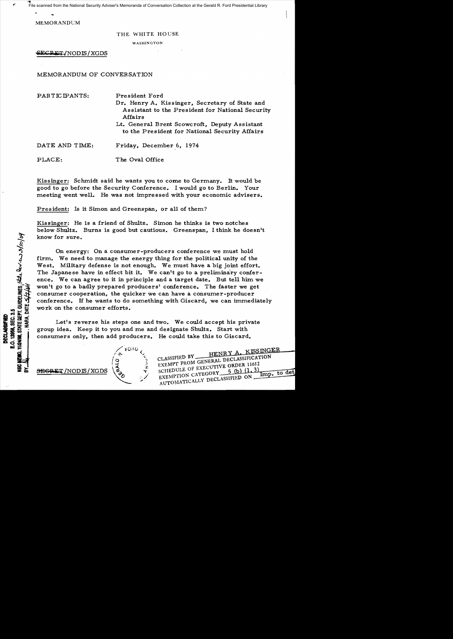File scanned from the National Security Adviser's Memoranda of Conversation Collection at the Gerald R. Ford Presidential Library

MEMORANPUM

## THE WHITE HOUSE

WASHINGTON

SECRET/NODIS / XGDS

# MEMORANDUM OF CONVERSATION

| PARTICIPANTS:  | President Ford<br>Dr. Henry A. Kissinger, Secretary of State and<br>Assistant to the President for National Security<br>Affairs<br>Lt. General Brent Scowcroft, Deputy Assistant<br>to the President for National Security Affairs |
|----------------|------------------------------------------------------------------------------------------------------------------------------------------------------------------------------------------------------------------------------------|
| DATE AND TIME: | Friday, December 6, 1974                                                                                                                                                                                                           |
| PLACE:         | The Oval Office                                                                                                                                                                                                                    |

Kissinger: Schmidt said he wants you to come to Germany. It would be good to go before the Security Conference. I would go to Berlin. Your meeting went well. He was not impressed with your economic advisers.

President: Is it Simon and Greenspan, or all of them?

Kissinger: He is a friend of Shultz. Simon he thinks is two notches below Shultz. Burns is good but cautious. Greenspan, I think he doesn't know for sure.

On energy: On a consumer-producers conference we must hold firm. We need to manage the energy thing for the political unity of the West. Military defense is not enough. We must have a big joint effort. The Japanese have in effect bit it. We can't go to a preliminary conference. We can agree to it in principle and a target date. But tell him we won't go to a badly prepared producers' conference. The faster we get consumer cooperation, the quicker we can have a consumer-producer conference. If he wants to do something with Giscard, we can immediately work on the consumer efforts.

Let's reverse his steps one and two. We could accept his private group idea. Keep it to you and me and designate Shultz. Start with consumers only, then add producers. He could take this to Giscard.

**SEGRET /NODIS / XGDS** 

STATE DEPT. GUIDELINES, SELL. Rev: CO.3/10/04

12958, SEC. 3.5 **BECLASSIFIED** 

11/24/08,1

**NARA, DATE S** 



HENRY A. KISSINGER CLASSIFIED BY. CLASSIFIED BY HENRY A. RESERVED BY THE ROM GENERAL DECLASSIFICATION EXEMPT FROM GENERAL DECISION 11652<br>SCHEDULE OF EXECUTIVE ORDER 11652 SCHEDULE OF EXPOSITION to det  $Imp.$ EXEMPTION CATEGORY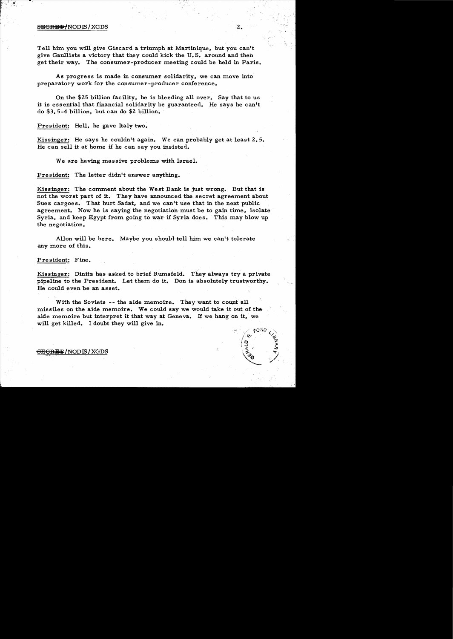### s<del>ecres /</del> NODIS / XGDS 2.

Tell him. you will give Giscard a triumph at Martinique, but you can't give Gaullists a victory that they could kick the U. S. around and then get their way. The consumer-producer meeting could be held in Paris.

As progress is made in consumer solidarity, we can move into preparatory work for the consumer-producer conference.

On the \$25 billion facility, he is bleeding all over. Say that to us it is essential that financial solidarity be guaranteed. He says he can't do \$3. 5 -4 billion, but can do \$2 billion.

President: Hell, he gave Italy two.

Kissinger: He says he couldn't again. We can probably get at least 2.5. He can sell it at home if he can say you insisted.

We are having massive problems with Israel.

President: The letter didn't answer anything.

Kissinger: The comment about the West Bank is just wrong. But that is not the worst part of it. They have announced the secret agreement about Suez cargoes. That hurt Sadat, and we can't use that in the next public agreement. Now he is saying the negotiation must be to gain time, isolate Syria, and keep Egypt from going to war if Syria does. This may blow up the negotiation.

Allon will be here. Maybe you should tell him we can't tolerate any more of this.

President: Fine.

Kissinger: Dinitz has asked to brief Rumsfeld. They always try a private pipeline to the President. Let them do it. Don is absolutely trustworthy. He could even be an asset.

With the Soviets -- the aide memoire. They want to count all missiles on the aide memoire. We could say we would take it out of the aide memoire but interpret it that way at Geneva. If we hang on it, we will get killed. I doubt they will give in.

SEGRET/NODIS/XGDS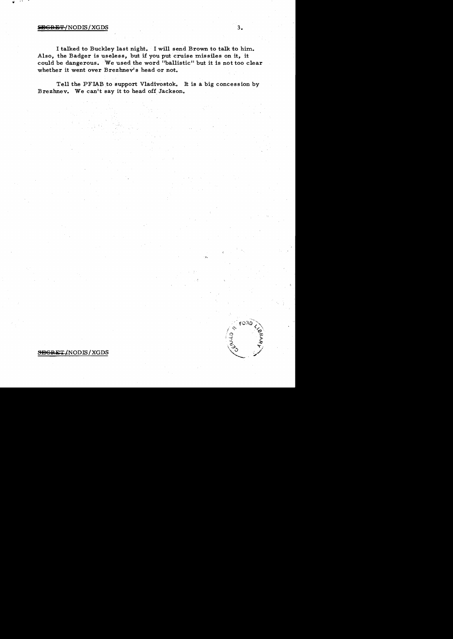## SEGRET/NODIS/XGDS

I talked to Buckley last night. I will send Brown to talk to him. Also, the Badger is useless, but if you put cruise missiles on it, it could be dangerous. We used the word "ballistic" but it is not too clear whether it went over Brezhnev's head or not.

 $3.$ 

oзı

Tell the PFIAB to support Vladivostok. It is a big concession by Brezhnev. We can't say it to head off Jackson.

#### SEGRET/NODIS/XGDS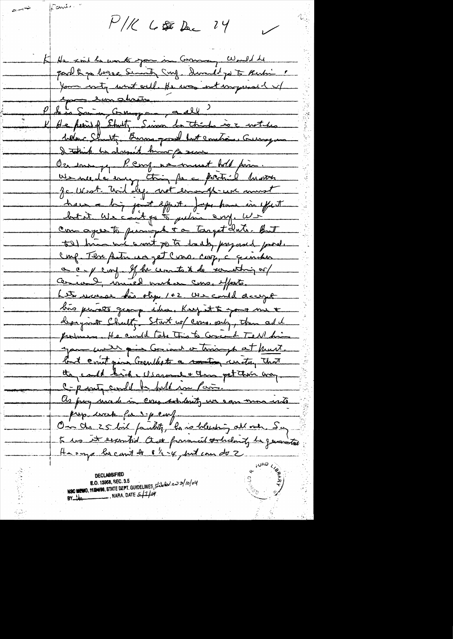$P/K$  6 \$ Dec 24

Pante

K/ He said he works pour in Commany Well he part & go began Sunt Surg. Sund jo to Rubi " Your roty want will the was instrumented of Lui Suivanne 2013 He perief Shalty Simon be think is a notches Sollen Shutt, Burns good but constrain Curry and I taking he days it king for sure On ensuing Perry no messent bold prinve ne de mis trimps et la décrir de mont have a big point effect. Just have in effect Com agree to puniple to target dute. Ant tel him we want po to take prejudit post Conf. The patricia jet Cres. corp, à quinches a c- y conf. If he context de concertain or Cercal innéed vacher cons. Meste. Let we can bis step 1+2 use could accept huis persons george idea. Keep it to good me t designate Charltz Start w/ cons. only, then add probasso He conde tobe This to Conceil Tell his you will give Go ind a triningh at hunt. but count give Crewlists a conting unitary that they could bid we assume + the pet their way. C-party could be foll in Pain. as pray unced in cons scholarity un sam more with prop. wask for spenty On de 25 bil paulite, le ve telesting all mer Say to us it exampled that forwared orchodary be generated Harrys becamit de 8 1/2 -4, but can de 2

**DECLASSIFIED** NSC MEMO, MISHOS, STATE DEPT. GUIDELINES, Stateler: en 3/10/04 BY  $M$  MARA, DATE  $511/\omega r$